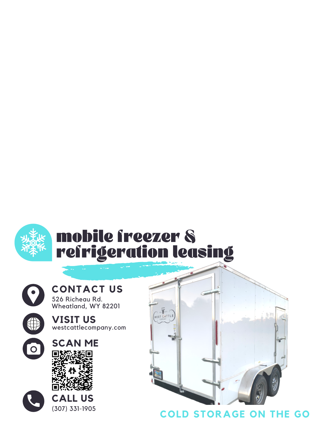



 $\overline{O}$ 

# **CONTACT US**

526 Richeau Rd. Wheatland, WY 82201







#### **COLD STORAGE ON THE GO**